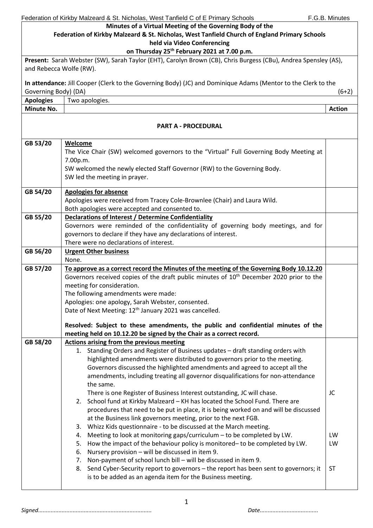|                                                                                               | Federation of Kirkby Malzeard & St. Nicholas, West Tanfield C of E Primary Schools                              | F.G.B. Minutes |
|-----------------------------------------------------------------------------------------------|-----------------------------------------------------------------------------------------------------------------|----------------|
|                                                                                               | Minutes of a Virtual Meeting of the Governing Body of the                                                       |                |
| Federation of Kirkby Malzeard & St. Nicholas, West Tanfield Church of England Primary Schools |                                                                                                                 |                |
| held via Video Conferencing                                                                   |                                                                                                                 |                |
|                                                                                               | on Thursday 25 <sup>th</sup> February 2021 at 7.00 p.m.                                                         |                |
|                                                                                               | Present: Sarah Webster (SW), Sarah Taylor (EHT), Carolyn Brown (CB), Chris Burgess (CBu), Andrea Spensley (AS), |                |
| and Rebecca Wolfe (RW).                                                                       |                                                                                                                 |                |
|                                                                                               |                                                                                                                 |                |
|                                                                                               | In attendance: Jill Cooper (Clerk to the Governing Body) (JC) and Dominique Adams (Mentor to the Clerk to the   |                |
| Governing Body) (DA)                                                                          |                                                                                                                 | $(6+2)$        |
| <b>Apologies</b>                                                                              | Two apologies.                                                                                                  |                |
| Minute No.                                                                                    |                                                                                                                 | <b>Action</b>  |
|                                                                                               |                                                                                                                 |                |
|                                                                                               | <b>PART A - PROCEDURAL</b>                                                                                      |                |
|                                                                                               |                                                                                                                 |                |
| GB 53/20                                                                                      | Welcome                                                                                                         |                |
|                                                                                               | The Vice Chair (SW) welcomed governors to the "Virtual" Full Governing Body Meeting at                          |                |
|                                                                                               | 7.00p.m.                                                                                                        |                |
|                                                                                               | SW welcomed the newly elected Staff Governor (RW) to the Governing Body.                                        |                |
|                                                                                               | SW led the meeting in prayer.                                                                                   |                |
|                                                                                               |                                                                                                                 |                |
| GB 54/20                                                                                      | <b>Apologies for absence</b>                                                                                    |                |
|                                                                                               | Apologies were received from Tracey Cole-Brownlee (Chair) and Laura Wild.                                       |                |
|                                                                                               | Both apologies were accepted and consented to.                                                                  |                |
| GB 55/20                                                                                      | <b>Declarations of Interest / Determine Confidentiality</b>                                                     |                |
|                                                                                               | Governors were reminded of the confidentiality of governing body meetings, and for                              |                |
|                                                                                               | governors to declare if they have any declarations of interest.                                                 |                |
|                                                                                               | There were no declarations of interest.                                                                         |                |
| GB 56/20                                                                                      | <b>Urgent Other business</b>                                                                                    |                |
|                                                                                               | None.                                                                                                           |                |
| GB 57/20                                                                                      | To approve as a correct record the Minutes of the meeting of the Governing Body 10.12.20                        |                |
|                                                                                               | Governors received copies of the draft public minutes of 10 <sup>th</sup> December 2020 prior to the            |                |
|                                                                                               | meeting for consideration.                                                                                      |                |
|                                                                                               | The following amendments were made:                                                                             |                |
|                                                                                               | Apologies: one apology, Sarah Webster, consented.                                                               |                |
|                                                                                               | Date of Next Meeting: 12 <sup>th</sup> January 2021 was cancelled.                                              |                |
|                                                                                               | Resolved: Subject to these amendments, the public and confidential minutes of the                               |                |
|                                                                                               | meeting held on 10.12.20 be signed by the Chair as a correct record.                                            |                |
| GB 58/20                                                                                      | <b>Actions arising from the previous meeting</b>                                                                |                |
|                                                                                               | Standing Orders and Register of Business updates - draft standing orders with<br>1.                             |                |
|                                                                                               | highlighted amendments were distributed to governors prior to the meeting.                                      |                |
|                                                                                               | Governors discussed the highlighted amendments and agreed to accept all the                                     |                |
|                                                                                               | amendments, including treating all governor disqualifications for non-attendance                                |                |
|                                                                                               | the same.                                                                                                       |                |
|                                                                                               | There is one Register of Business Interest outstanding, JC will chase.                                          | JC             |
|                                                                                               | 2. School fund at Kirkby Malzeard - KH has located the School Fund. There are                                   |                |
|                                                                                               | procedures that need to be put in place, it is being worked on and will be discussed                            |                |
|                                                                                               | at the Business link governors meeting, prior to the next FGB.                                                  |                |
|                                                                                               | Whizz Kids questionnaire - to be discussed at the March meeting.<br>3.                                          |                |
|                                                                                               | Meeting to look at monitoring gaps/curriculum - to be completed by LW.<br>4.                                    | LW             |
|                                                                                               | How the impact of the behaviour policy is monitored- to be completed by LW.<br>5.                               | LW             |
|                                                                                               | Nursery provision - will be discussed in item 9.<br>6.                                                          |                |
|                                                                                               | Non-payment of school lunch bill - will be discussed in item 9.<br>7.                                           |                |
|                                                                                               | 8. Send Cyber-Security report to governors - the report has been sent to governors; it                          | <b>ST</b>      |
|                                                                                               | is to be added as an agenda item for the Business meeting.                                                      |                |
|                                                                                               |                                                                                                                 |                |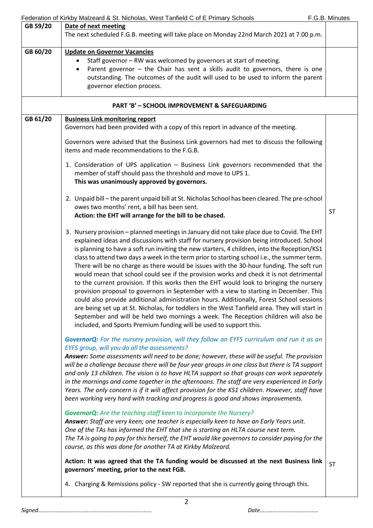|          | Federation of Kirkby Malzeard & St. Nicholas, West Tanfield C of E Primary Schools                                                                                                  | F.G.B. Minutes |
|----------|-------------------------------------------------------------------------------------------------------------------------------------------------------------------------------------|----------------|
| GB 59/20 | Date of next meeting                                                                                                                                                                |                |
|          | The next scheduled F.G.B. meeting will take place on Monday 22nd March 2021 at 7.00 p.m.                                                                                            |                |
| GB 60/20 |                                                                                                                                                                                     |                |
|          | <b>Update on Governor Vacancies</b>                                                                                                                                                 |                |
|          | Staff governor - RW was welcomed by governors at start of meeting.                                                                                                                  |                |
|          | Parent governor - the Chair has sent a skills audit to governors, there is one                                                                                                      |                |
|          | outstanding. The outcomes of the audit will used to be used to inform the parent<br>governor election process.                                                                      |                |
|          |                                                                                                                                                                                     |                |
|          | <b>PART 'B' - SCHOOL IMPROVEMENT &amp; SAFEGUARDING</b>                                                                                                                             |                |
| GB 61/20 | <b>Business Link monitoring report</b>                                                                                                                                              |                |
|          | Governors had been provided with a copy of this report in advance of the meeting.                                                                                                   |                |
|          | Governors were advised that the Business Link governors had met to discuss the following<br>items and made recommendations to the F.G.B.                                            |                |
|          | 1. Consideration of UPS application - Business Link governors recommended that the                                                                                                  |                |
|          | member of staff should pass the threshold and move to UPS 1.                                                                                                                        |                |
|          | This was unanimously approved by governors.                                                                                                                                         |                |
|          |                                                                                                                                                                                     |                |
|          | 2. Unpaid bill - the parent unpaid bill at St. Nicholas School has been cleared. The pre-school                                                                                     |                |
|          | owes two months' rent, a bill has been sent.<br>Action: the EHT will arrange for the bill to be chased.                                                                             | <b>ST</b>      |
|          |                                                                                                                                                                                     |                |
|          | 3. Nursery provision - planned meetings in January did not take place due to Covid. The EHT                                                                                         |                |
|          | explained ideas and discussions with staff for nursery provision being introduced. School                                                                                           |                |
|          | is planning to have a soft run inviting the new starters, 4 children, into the Reception/KS1                                                                                        |                |
|          | class to attend two days a week in the term prior to starting school i.e., the summer term.                                                                                         |                |
|          | There will be no charge as there would be issues with the 30-hour funding. The soft run                                                                                             |                |
|          | would mean that school could see if the provision works and check it is not detrimental                                                                                             |                |
|          | to the current provision. If this works then the EHT would look to bringing the nursery                                                                                             |                |
|          | provision proposal to governors in September with a view to starting in December. This                                                                                              |                |
|          | could also provide additional administration hours. Additionally, Forest School sessions                                                                                            |                |
|          | are being set up at St. Nicholas, for toddlers in the West Tanfield area. They will start in<br>September and will be held two mornings a week. The Reception children will also be |                |
|          | included, and Sports Premium funding will be used to support this.                                                                                                                  |                |
|          |                                                                                                                                                                                     |                |
|          | GovernorQ: For the nursery provision, will they follow an EYFS curriculum and run it as an                                                                                          |                |
|          | EYFS group, will you do all the assessments?<br>Answer: Some assessments will need to be done; however, these will be useful. The provision                                         |                |
|          | will be a challenge because there will be four year groups in one class but there is TA support                                                                                     |                |
|          | and only 13 children. The vision is to have HLTA support so that groups can work separately                                                                                         |                |
|          | in the mornings and come together in the afternoons. The staff are very experienced in Early                                                                                        |                |
|          | Years. The only concern is if it will affect provision for the KS1 children. However, staff have                                                                                    |                |
|          | been working very hard with tracking and progress is good and shows improvements.                                                                                                   |                |
|          | <b>GovernorQ:</b> Are the teaching staff keen to incorporate the Nursery?                                                                                                           |                |
|          | Answer: Staff are very keen; one teacher is especially keen to have an Early Years unit.                                                                                            |                |
|          | One of the TAs has informed the EHT that she is starting an HLTA course next term.                                                                                                  |                |
|          | The TA is going to pay for this herself, the EHT would like governors to consider paying for the                                                                                    |                |
|          | course, as this was done for another TA at Kirkby Malzeard.                                                                                                                         |                |
|          |                                                                                                                                                                                     |                |
|          | Action: It was agreed that the TA funding would be discussed at the next Business link<br>governors' meeting, prior to the next FGB.                                                | <b>ST</b>      |
|          |                                                                                                                                                                                     |                |
|          | 4. Charging & Remissions policy - SW reported that she is currently going through this.                                                                                             |                |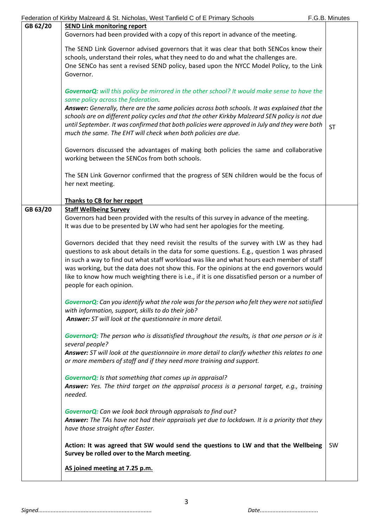|          | Federation of Kirkby Malzeard & St. Nicholas, West Tanfield C of E Primary Schools                  | F.G.B. Minutes |
|----------|-----------------------------------------------------------------------------------------------------|----------------|
| GB 62/20 | <b>SEND Link monitoring report</b>                                                                  |                |
|          | Governors had been provided with a copy of this report in advance of the meeting.                   |                |
|          |                                                                                                     |                |
|          | The SEND Link Governor advised governors that it was clear that both SENCos know their              |                |
|          | schools, understand their roles, what they need to do and what the challenges are.                  |                |
|          | One SENCo has sent a revised SEND policy, based upon the NYCC Model Policy, to the Link             |                |
|          | Governor.                                                                                           |                |
|          |                                                                                                     |                |
|          | <b>GovernorQ:</b> will this policy be mirrored in the other school? It would make sense to have the |                |
|          | same policy across the federation.                                                                  |                |
|          | Answer: Generally, there are the same policies across both schools. It was explained that the       |                |
|          | schools are on different policy cycles and that the other Kirkby Malzeard SEN policy is not due     |                |
|          | until September. It was confirmed that both policies were approved in July and they were both       | <b>ST</b>      |
|          | much the same. The EHT will check when both policies are due.                                       |                |
|          |                                                                                                     |                |
|          | Governors discussed the advantages of making both policies the same and collaborative               |                |
|          | working between the SENCos from both schools.                                                       |                |
|          |                                                                                                     |                |
|          | The SEN Link Governor confirmed that the progress of SEN children would be the focus of             |                |
|          | her next meeting.                                                                                   |                |
|          |                                                                                                     |                |
|          | Thanks to CB for her report                                                                         |                |
| GB 63/20 | <b>Staff Wellbeing Survey</b>                                                                       |                |
|          | Governors had been provided with the results of this survey in advance of the meeting.              |                |
|          | It was due to be presented by LW who had sent her apologies for the meeting.                        |                |
|          |                                                                                                     |                |
|          | Governors decided that they need revisit the results of the survey with LW as they had              |                |
|          | questions to ask about details in the data for some questions. E.g., question 1 was phrased         |                |
|          | in such a way to find out what staff workload was like and what hours each member of staff          |                |
|          | was working, but the data does not show this. For the opinions at the end governors would           |                |
|          | like to know how much weighting there is i.e., if it is one dissatisfied person or a number of      |                |
|          | people for each opinion.                                                                            |                |
|          |                                                                                                     |                |
|          | Governor $Q$ : Can you identify what the role was for the person who felt they were not satisfied   |                |
|          | with information, support, skills to do their job?                                                  |                |
|          | Answer: ST will look at the questionnaire in more detail.                                           |                |
|          |                                                                                                     |                |
|          | Governor $Q$ : The person who is dissatisfied throughout the results, is that one person or is it   |                |
|          | several people?                                                                                     |                |
|          | Answer: ST will look at the questionnaire in more detail to clarify whether this relates to one     |                |
|          |                                                                                                     |                |
|          |                                                                                                     |                |
|          | or more members of staff and if they need more training and support.                                |                |
|          |                                                                                                     |                |
|          | <b>GovernorQ:</b> Is that something that comes up in appraisal?                                     |                |
|          | Answer: Yes. The third target on the appraisal process is a personal target, e.g., training         |                |
|          | needed.                                                                                             |                |
|          |                                                                                                     |                |
|          | GovernorQ: Can we look back through appraisals to find out?                                         |                |
|          | Answer: The TAs have not had their appraisals yet due to lockdown. It is a priority that they       |                |
|          | have those straight after Easter.                                                                   |                |
|          |                                                                                                     |                |
|          | Action: It was agreed that SW would send the questions to LW and that the Wellbeing                 | <b>SW</b>      |
|          | Survey be rolled over to the March meeting.                                                         |                |
|          | AS joined meeting at 7.25 p.m.                                                                      |                |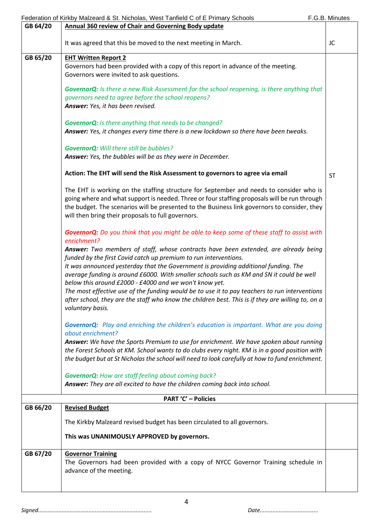|          | Federation of Kirkby Malzeard & St. Nicholas, West Tanfield C of E Primary Schools                                                                                                                                                                                                                                                                                                                                                                                                                                                                                                                                             | F.G.B. Minutes |
|----------|--------------------------------------------------------------------------------------------------------------------------------------------------------------------------------------------------------------------------------------------------------------------------------------------------------------------------------------------------------------------------------------------------------------------------------------------------------------------------------------------------------------------------------------------------------------------------------------------------------------------------------|----------------|
| GB 64/20 | <b>Annual 360 review of Chair and Governing Body update</b>                                                                                                                                                                                                                                                                                                                                                                                                                                                                                                                                                                    |                |
|          | It was agreed that this be moved to the next meeting in March.                                                                                                                                                                                                                                                                                                                                                                                                                                                                                                                                                                 | JC             |
| GB 65/20 | <b>EHT Written Report 2</b>                                                                                                                                                                                                                                                                                                                                                                                                                                                                                                                                                                                                    |                |
|          | Governors had been provided with a copy of this report in advance of the meeting.<br>Governors were invited to ask questions.                                                                                                                                                                                                                                                                                                                                                                                                                                                                                                  |                |
|          | <b>GovernorQ:</b> Is there a new Risk Assessment for the school reopening, is there anything that<br>governors need to agree before the school reopens?<br>Answer: Yes, it has been revised.                                                                                                                                                                                                                                                                                                                                                                                                                                   |                |
|          | <b>GovernorQ:</b> Is there anything that needs to be changed?<br>Answer: Yes, it changes every time there is a new lockdown so there have been tweaks.                                                                                                                                                                                                                                                                                                                                                                                                                                                                         |                |
|          | <b>GovernorQ:</b> Will there still be bubbles?<br>Answer: Yes, the bubbles will be as they were in December.                                                                                                                                                                                                                                                                                                                                                                                                                                                                                                                   |                |
|          | Action: The EHT will send the Risk Assessment to governors to agree via email                                                                                                                                                                                                                                                                                                                                                                                                                                                                                                                                                  | <b>ST</b>      |
|          | The EHT is working on the staffing structure for September and needs to consider who is<br>going where and what support is needed. Three or four staffing proposals will be run through<br>the budget. The scenarios will be presented to the Business link governors to consider, they<br>will then bring their proposals to full governors.                                                                                                                                                                                                                                                                                  |                |
|          | GovernorQ: Do you think that you might be able to keep some of these staff to assist with<br>enrichment?                                                                                                                                                                                                                                                                                                                                                                                                                                                                                                                       |                |
|          | Answer: Two members of staff, whose contracts have been extended, are already being<br>funded by the first Covid catch up premium to run interventions.<br>It was announced yesterday that the Government is providing additional funding. The<br>average funding is around £6000. With smaller schools such as KM and SN it could be well<br>below this around £2000 - £4000 and we won't know yet.<br>The most effective use of the funding would be to use it to pay teachers to run interventions<br>after school, they are the staff who know the children best. This is if they are willing to, on a<br>voluntary basis. |                |
|          | <b>GovernorQ:</b> Play and enriching the children's education is important. What are you doing<br>about enrichment?                                                                                                                                                                                                                                                                                                                                                                                                                                                                                                            |                |
|          | Answer: We have the Sports Premium to use for enrichment. We have spoken about running<br>the Forest Schools at KM. School wants to do clubs every night. KM is in a good position with<br>the budget but at St Nicholas the school will need to look carefully at how to fund enrichment.                                                                                                                                                                                                                                                                                                                                     |                |
|          | <b>GovernorQ:</b> How are staff feeling about coming back?<br>Answer: They are all excited to have the children coming back into school.                                                                                                                                                                                                                                                                                                                                                                                                                                                                                       |                |
|          | <b>PART 'C' - Policies</b>                                                                                                                                                                                                                                                                                                                                                                                                                                                                                                                                                                                                     |                |
| GB 66/20 | <b>Revised Budget</b>                                                                                                                                                                                                                                                                                                                                                                                                                                                                                                                                                                                                          |                |
|          | The Kirkby Malzeard revised budget has been circulated to all governors.                                                                                                                                                                                                                                                                                                                                                                                                                                                                                                                                                       |                |
|          | This was UNANIMOUSLY APPROVED by governors.                                                                                                                                                                                                                                                                                                                                                                                                                                                                                                                                                                                    |                |
| GB 67/20 | <b>Governor Training</b><br>The Governors had been provided with a copy of NYCC Governor Training schedule in<br>advance of the meeting.                                                                                                                                                                                                                                                                                                                                                                                                                                                                                       |                |
|          |                                                                                                                                                                                                                                                                                                                                                                                                                                                                                                                                                                                                                                |                |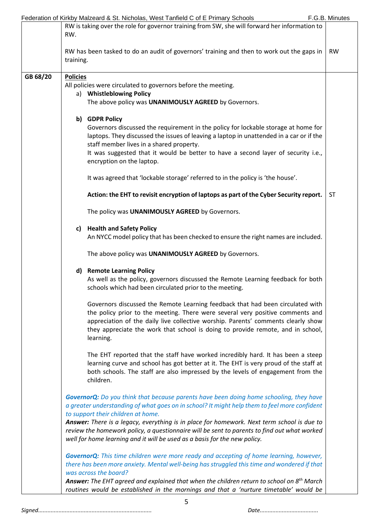|          | Federation of Kirkby Malzeard & St. Nicholas, West Tanfield C of E Primary Schools                                                                                                                                                                                                                                                                    | F.G.B. Minutes |
|----------|-------------------------------------------------------------------------------------------------------------------------------------------------------------------------------------------------------------------------------------------------------------------------------------------------------------------------------------------------------|----------------|
|          | RW is taking over the role for governor training from SW, she will forward her information to                                                                                                                                                                                                                                                         |                |
|          | RW.                                                                                                                                                                                                                                                                                                                                                   |                |
|          |                                                                                                                                                                                                                                                                                                                                                       |                |
|          | RW has been tasked to do an audit of governors' training and then to work out the gaps in                                                                                                                                                                                                                                                             | <b>RW</b>      |
|          | training.                                                                                                                                                                                                                                                                                                                                             |                |
|          |                                                                                                                                                                                                                                                                                                                                                       |                |
| GB 68/20 | <b>Policies</b>                                                                                                                                                                                                                                                                                                                                       |                |
|          | All policies were circulated to governors before the meeting.                                                                                                                                                                                                                                                                                         |                |
|          | a) Whistleblowing Policy                                                                                                                                                                                                                                                                                                                              |                |
|          | The above policy was UNANIMOUSLY AGREED by Governors.                                                                                                                                                                                                                                                                                                 |                |
|          | b) GDPR Policy                                                                                                                                                                                                                                                                                                                                        |                |
|          | Governors discussed the requirement in the policy for lockable storage at home for                                                                                                                                                                                                                                                                    |                |
|          | laptops. They discussed the issues of leaving a laptop in unattended in a car or if the                                                                                                                                                                                                                                                               |                |
|          | staff member lives in a shared property.                                                                                                                                                                                                                                                                                                              |                |
|          | It was suggested that it would be better to have a second layer of security i.e.,                                                                                                                                                                                                                                                                     |                |
|          | encryption on the laptop.                                                                                                                                                                                                                                                                                                                             |                |
|          | It was agreed that 'lockable storage' referred to in the policy is 'the house'.                                                                                                                                                                                                                                                                       |                |
|          | Action: the EHT to revisit encryption of laptops as part of the Cyber Security report.                                                                                                                                                                                                                                                                | <b>ST</b>      |
|          | The policy was UNANIMOUSLY AGREED by Governors.                                                                                                                                                                                                                                                                                                       |                |
|          | c) Health and Safety Policy<br>An NYCC model policy that has been checked to ensure the right names are included.                                                                                                                                                                                                                                     |                |
|          |                                                                                                                                                                                                                                                                                                                                                       |                |
|          | The above policy was UNANIMOUSLY AGREED by Governors.                                                                                                                                                                                                                                                                                                 |                |
|          | <b>Remote Learning Policy</b><br>d)<br>As well as the policy, governors discussed the Remote Learning feedback for both<br>schools which had been circulated prior to the meeting.                                                                                                                                                                    |                |
|          |                                                                                                                                                                                                                                                                                                                                                       |                |
|          | Governors discussed the Remote Learning feedback that had been circulated with<br>the policy prior to the meeting. There were several very positive comments and<br>appreciation of the daily live collective worship. Parents' comments clearly show<br>they appreciate the work that school is doing to provide remote, and in school,<br>learning. |                |
|          |                                                                                                                                                                                                                                                                                                                                                       |                |
|          | The EHT reported that the staff have worked incredibly hard. It has been a steep<br>learning curve and school has got better at it. The EHT is very proud of the staff at<br>both schools. The staff are also impressed by the levels of engagement from the<br>children.                                                                             |                |
|          |                                                                                                                                                                                                                                                                                                                                                       |                |
|          | <b>GovernorQ:</b> Do you think that because parents have been doing home schooling, they have                                                                                                                                                                                                                                                         |                |
|          | a greater understanding of what goes on in school? It might help them to feel more confident                                                                                                                                                                                                                                                          |                |
|          | to support their children at home.                                                                                                                                                                                                                                                                                                                    |                |
|          | Answer: There is a legacy, everything is in place for homework. Next term school is due to<br>review the homework policy, a questionnaire will be sent to parents to find out what worked<br>well for home learning and it will be used as a basis for the new policy.                                                                                |                |
|          | <b>GovernorQ:</b> This time children were more ready and accepting of home learning, however,                                                                                                                                                                                                                                                         |                |
|          | there has been more anxiety. Mental well-being has struggled this time and wondered if that                                                                                                                                                                                                                                                           |                |
|          | was across the board?                                                                                                                                                                                                                                                                                                                                 |                |
|          | Answer: The EHT agreed and explained that when the children return to school on 8 <sup>th</sup> March<br>routines would be established in the mornings and that a 'nurture timetable' would be                                                                                                                                                        |                |
|          |                                                                                                                                                                                                                                                                                                                                                       |                |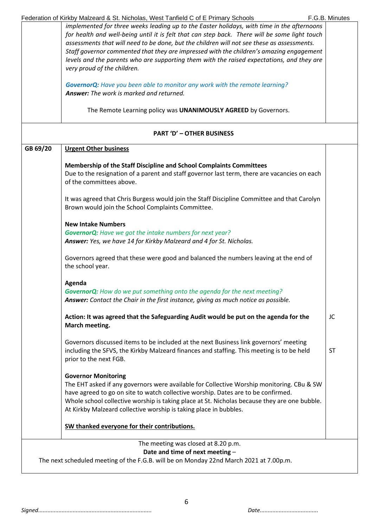|          | Federation of Kirkby Malzeard & St. Nicholas, West Tanfield C of E Primary Schools                                  | F.G.B. Minutes |
|----------|---------------------------------------------------------------------------------------------------------------------|----------------|
|          | implemented for three weeks leading up to the Easter holidays, with time in the afternoons                          |                |
|          | for health and well-being until it is felt that can step back. There will be some light touch                       |                |
|          | assessments that will need to be done, but the children will not see these as assessments.                          |                |
|          | Staff governor commented that they are impressed with the children's amazing engagement                             |                |
|          |                                                                                                                     |                |
|          | levels and the parents who are supporting them with the raised expectations, and they are                           |                |
|          | very proud of the children.                                                                                         |                |
|          | <b>GovernorQ:</b> Have you been able to monitor any work with the remote learning?                                  |                |
|          | <b>Answer:</b> The work is marked and returned.                                                                     |                |
|          | The Remote Learning policy was UNANIMOUSLY AGREED by Governors.                                                     |                |
|          | <b>PART 'D' - OTHER BUSINESS</b>                                                                                    |                |
| GB 69/20 | <b>Urgent Other business</b>                                                                                        |                |
|          | Membership of the Staff Discipline and School Complaints Committees                                                 |                |
|          | Due to the resignation of a parent and staff governor last term, there are vacancies on each                        |                |
|          | of the committees above.                                                                                            |                |
|          | It was agreed that Chris Burgess would join the Staff Discipline Committee and that Carolyn                         |                |
|          | Brown would join the School Complaints Committee.                                                                   |                |
|          | <b>New Intake Numbers</b>                                                                                           |                |
|          | <b>GovernorQ:</b> Have we got the intake numbers for next year?                                                     |                |
|          | Answer: Yes, we have 14 for Kirkby Malzeard and 4 for St. Nicholas.                                                 |                |
|          | Governors agreed that these were good and balanced the numbers leaving at the end of<br>the school year.            |                |
|          | Agenda                                                                                                              |                |
|          | <b>GovernorQ:</b> How do we put something onto the agenda for the next meeting?                                     |                |
|          | Answer: Contact the Chair in the first instance, giving as much notice as possible.                                 |                |
|          | Action: It was agreed that the Safeguarding Audit would be put on the agenda for the<br>March meeting.              | JC             |
|          |                                                                                                                     |                |
|          | Governors discussed items to be included at the next Business link governors' meeting                               |                |
|          | including the SFVS, the Kirkby Malzeard finances and staffing. This meeting is to be held<br>prior to the next FGB. | <b>ST</b>      |
|          |                                                                                                                     |                |
|          | <b>Governor Monitoring</b>                                                                                          |                |
|          | The EHT asked if any governors were available for Collective Worship monitoring. CBu & SW                           |                |
|          | have agreed to go on site to watch collective worship. Dates are to be confirmed.                                   |                |
|          | Whole school collective worship is taking place at St. Nicholas because they are one bubble.                        |                |
|          | At Kirkby Malzeard collective worship is taking place in bubbles.                                                   |                |
|          | SW thanked everyone for their contributions.                                                                        |                |
|          | The meeting was closed at 8.20 p.m.                                                                                 |                |
|          |                                                                                                                     |                |